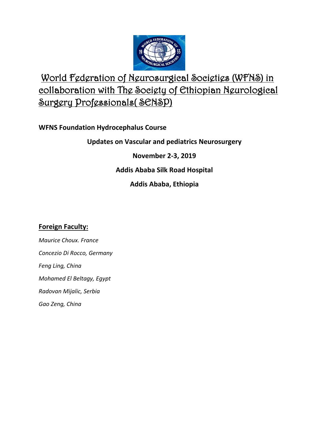

# World Federation of Neurosurgical Societies (WFNS) in collaboration with The Society of Ethiopian Neurological Surgery Professionals( SENSP)

**WFNS Foundation Hydrocephalus Course**

**Updates on Vascular and pediatrics Neurosurgery** 

**November 2-3, 2019**

**Addis Ababa Silk Road Hospital** 

**Addis Ababa, Ethiopia** 

# **Foreign Faculty:**

*Maurice Choux. France Concezio Di Rocco, Germany Feng Ling, China Mohamed El Beltagy, Egypt Radovan Mijalic, Serbia Gao Zeng, China*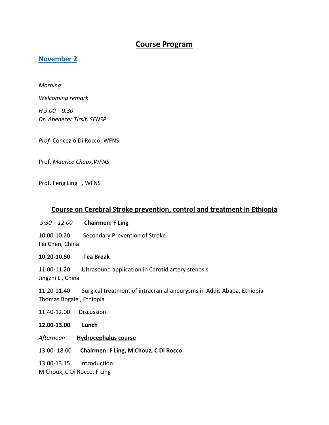# **Course Program**

## **November 2**

*Morning* 

*Welcoming remark* 

*H 9.00 – 9.30 Dr. Abenezer Tirsit, SENSP* 

*Prof.* Concezio Di Rocco, WFNS

Prof. *Maurice Choux,WFNS*

Prof. Feng Ling , WFNS

## **Course on Cerebral Stroke prevention, control and treatment in Ethiopia**

- *9:30 – 12.00* **Chairmen: F Ling**
- 10.00-10.20 Secondary Prevention of Stroke

Fei Chen, China

#### **10.20-10.50 Tea Break**

11.00-11.20 Ultrasound application in Carotid artery stenosis

Jingzhi Li, China

11.20-11.40 Surgical treatment of intracranial aneurysms in Addis Ababa, Ethiopia Thomas Bogale , Ethiopia

11.40-12.00Discussion

**12.00-13.00 Lunch**

- *Afternoon* **Hydrocephalus course**
- 13.00- 18.00 **Chairmen: F Ling, M Chouz, C Di Rocco**

13.00-13.15 Introduction:

M Choux, C Di Rocco, F Ling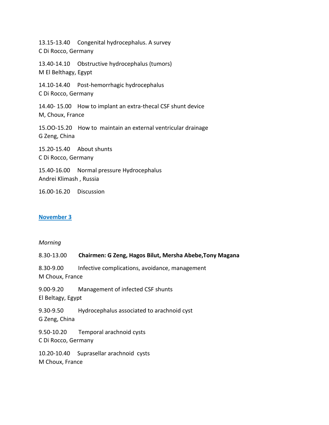13.15-13.40 Congenital hydrocephalus. A survey C Di Rocco, Germany 13.40-14.10 Obstructive hydrocephalus (tumors) M El Belthagy, Egypt 14.10-14.40 Post-hemorrhagic hydrocephalus C Di Rocco, Germany 14.40- 15.00 How to implant an extra-thecal CSF shunt device M, Choux, France 15.OO-15.20 How to maintain an external ventricular drainage G Zeng, China 15.20-15.40 About shunts

C Di Rocco, Germany 15.40-16.00 Normal pressure Hydrocephalus

Andrei Klimash , Russia

16.00-16.20 Discussion

#### **November 3**

#### *Morning*

| 8.30-13.00                        | Chairmen: G Zeng, Hagos Bilut, Mersha Abebe, Tony Magana |
|-----------------------------------|----------------------------------------------------------|
| 8.30-9.00<br>M Choux, France      | Infective complications, avoidance, management           |
| 9.00-9.20<br>El Beltagy, Egypt    | Management of infected CSF shunts                        |
| 9.30-9.50<br>G Zeng, China        | Hydrocephalus associated to arachnoid cyst               |
| 9.50-10.20<br>C Di Rocco, Germany | Temporal arachnoid cysts                                 |
| M Choux, France                   | 10.20-10.40 Suprasellar arachnoid cysts                  |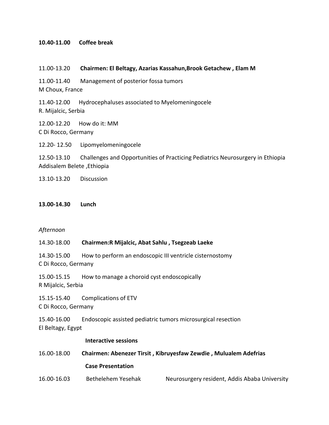#### **10.40-11.00 Coffee break**

- 11.00-13.20 **Chairmen: El Beltagy, Azarias Kassahun,Brook Getachew , Elam M**
- 11.00-11.40 Management of posterior fossa tumors

M Choux, France

11.40-12.00 Hydrocephaluses associated to Myelomeningocele R. Mijalcic, Serbia

12.00-12.20 How do it: MM C Di Rocco, Germany

12.20- 12.50 Lipomyelomeningocele

12.50-13.10 Challenges and Opportunities of Practicing Pediatrics Neurosurgery in Ethiopia Addisalem Belete ,Ethiopia

13.10-13.20 Discussion

**13.00-14.30 Lunch**

#### *Afternoon*

#### 14.30-18.00 **Chairmen:R Mijalcic, Abat Sahlu , Tsegzeab Laeke**

14.30-15.00 How to perform an endoscopic III ventricle cisternostomy C Di Rocco, Germany

15.00-15.15 How to manage a choroid cyst endoscopically R Mijalcic, Serbia

15.15-15.40 Complications of ETV C Di Rocco, Germany

15.40-16.00 Endoscopic assisted pediatric tumors microsurgical resection El Beltagy, Egypt

#### **Interactive sessions**

16.00-18.00 **Chairmen: Abenezer Tirsit , Kibruyesfaw Zewdie , Mulualem Adefrias Case Presentation**  16.00-16.03 Bethelehem Yesehak Neurosurgery resident, Addis Ababa University